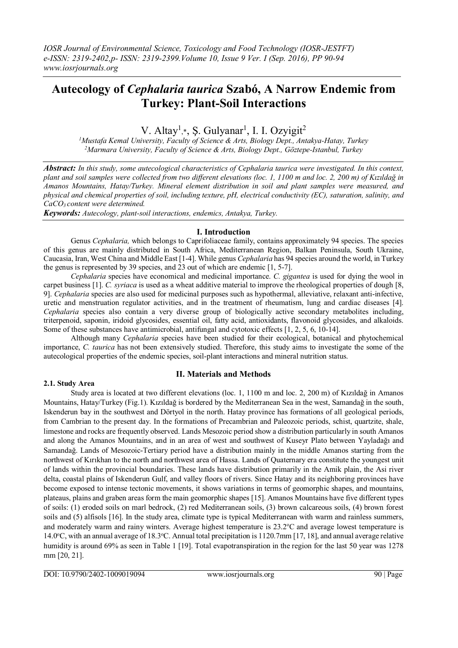# **Autecology of** *Cephalaria taurica* **Szabó, A Narrow Endemic from Turkey: Plant-Soil Interactions**

V. Altay<sup>1</sup>,\*, Ş. Gulyanar<sup>1</sup>, I. I. Ozyigit<sup>2</sup>

*<sup>1</sup>Mustafa Kemal University, Faculty of Science & Arts, Biology Dept., Antakya-Hatay, Turkey <sup>2</sup>Marmara University, Faculty of Science & Arts, Biology Dept., Göztepe-Istanbul, Turkey*

*Abstract: In this study, some autecological characteristics of Cephalaria taurica were investigated. In this context, plant and soil samples were collected from two different elevations (loc. 1, 1100 m and loc. 2, 200 m) of Kızıldağ in Amanos Mountains, Hatay/Turkey. Mineral element distribution in soil and plant samples were measured, and physical and chemical properties of soil, including texture, pH, electrical conductivity (EC), saturation, salinity, and CaCO3 content were determined.* 

*Keywords: Autecology, plant-soil interactions, endemics, Antakya, Turkey.* 

### **I. Introduction**

Genus *Cephalaria,* which belongs to Caprifoliaceae family, contains approximately 94 species. The species of this genus are mainly distributed in South Africa, Mediterranean Region, Balkan Peninsula, South Ukraine, Caucasia, Iran, West China and Middle East [1-4]. While genus *Cephalaria* has 94 species around the world, in Turkey the genus is represented by 39 species, and 23 out of which are endemic [1, 5-7].

*Cephalaria* species have economical and medicinal importance. *C. gigantea* is used for dying the wool in carpet business [1]. *C. syriaca* is used as a wheat additive material to improve the rheological properties of dough [8, 9]. *Cephalaria* species are also used for medicinal purposes such as hypothermal, alleviative, relaxant anti-infective, uretic and menstruation regulator activities, and in the treatment of rheumatism, lung and cardiac diseases [4]. *Cephalaria* species also contain a very diverse group of biologically active secondary metabolites including, triterpenoid, saponin, iridoid glycosides, essential oil, fatty acid, antioxidants, flavonoid glycosides, and alkaloids. Some of these substances have antimicrobial, antifungal and cytotoxic effects [1, 2, 5, 6, 10-14].

Although many *Cephalaria* species have been studied for their ecological, botanical and phytochemical importance, *C. taurica* has not been extensively studied. Therefore, this study aims to investigate the some of the autecological properties of the endemic species, soil-plant interactions and mineral nutrition status.

## **2.1. Study Area**

#### **II. Materials and Methods**

Study area is located at two different elevations (loc. 1, 1100 m and loc. 2, 200 m) of Kızıldağ in Amanos Mountains, Hatay/Turkey (Fig.1). Kızıldağ is bordered by the Mediterranean Sea in the west, Samandağ in the south, Iskenderun bay in the southwest and Dörtyol in the north. Hatay province has formations of all geological periods, from Cambrian to the present day. In the formations of Precambrian and Paleozoic periods, schist, quartzite, shale, limestone and rocks are frequently observed. Lands Mesozoic period show a distribution particularly in south Amanos and along the Amanos Mountains, and in an area of west and southwest of Kuseyr Plato between Yayladağı and Samandağ. Lands of Mesozoic-Tertiary period have a distribution mainly in the middle Amanos starting from the northwest of Kırıkhan to the north and northwest area of Hassa. Lands of Quaternary era constitute the youngest unit of lands within the provincial boundaries. These lands have distribution primarily in the Amik plain, the Asi river delta, coastal plains of Iskenderun Gulf, and valley floors of rivers. Since Hatay and its neighboring provinces have become exposed to intense tectonic movements, it shows variations in terms of geomorphic shapes, and mountains, plateaus, plains and graben areas form the main geomorphic shapes [15]. Amanos Mountains have five different types of soils: (1) eroded soils on marl bedrock, (2) red Mediterranean soils, (3) brown calcareous soils, (4) brown forest soils and (5) alfisols [16]. In the study area, climate type is typical Mediterranean with warm and rainless summers, and moderately warm and rainy winters. Average highest temperature is 23.2°C and average lowest temperature is  $14.0^{\circ}$ C, with an annual average of 18.3 $^{\circ}$ C. Annual total precipitation is 1120.7mm [17, 18], and annual average relative humidity is around 69% as seen in Table 1 [19]. Total evapotranspiration in the region for the last 50 year was 1278 mm [20, 21].

DOI: 10.9790/2402-1009019094 www.iosrjournals.org 90 | Page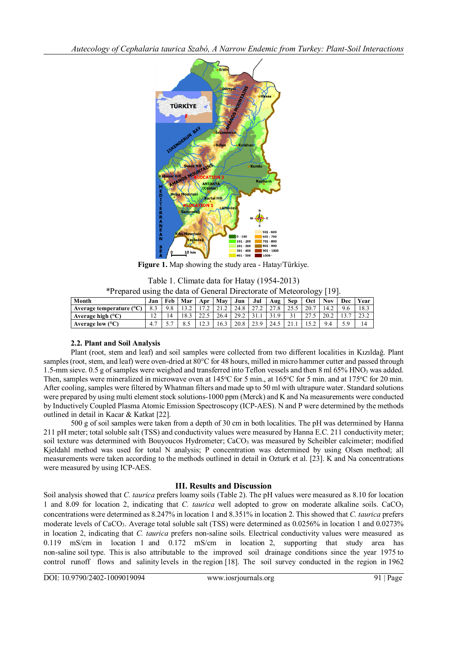*Autecology of Cephalaria taurica Szabó, A Narrow Endemic from Turkey: Plant-Soil Interactions*



**Figure 1.** Map showing the study area - Hatay/Türkiye.

Table 1. Climate data for Hatay (1954-2013)

| *Prepared using the data of General Directorate of Meteorology [19]. |  |  |                                                                                      |  |  |  |  |
|----------------------------------------------------------------------|--|--|--------------------------------------------------------------------------------------|--|--|--|--|
|                                                                      |  |  | $\lceil \ln  \cdot $ Eeb   Mar   Apr   May   Jun   Jul   Aug   San   Oet   Nay   Dec |  |  |  |  |

| Month                             | Jan            | Feb | Mar        | Apr                      | Mav                  | Jun  | Jul | Aug  | <b>Sep</b> | Oct  | Nov. | Dec | Year |
|-----------------------------------|----------------|-----|------------|--------------------------|----------------------|------|-----|------|------------|------|------|-----|------|
| Average temperature $(^{\circ}C)$ |                |     | . <u>.</u> | $\overline{\phantom{a}}$ | $\angle$ 1. $\angle$ | 24.8 |     |      |            | 20.7 | 14.2 | 9.6 | 18.3 |
| Average high $(^{\circ}C)$        | $\overline{ }$ |     | ıΩ<br>10.3 | ن کا ک                   | 26.4                 | 29.2 |     |      |            |      | 20.2 |     |      |
| Average low $(^{\circ}C)$         | 4.             |     |            | ن که 1                   | 16.3                 | 20.8 |     | 24.5 |            |      | 9.4  |     | 14   |

## **2.2. Plant and Soil Analysis**

Plant (root, stem and leaf) and soil samples were collected from two different localities in Kızıldağ. Plant samples (root, stem, and leaf) were oven-dried at 80°C for 48 hours, milled in micro hammer cutter and passed through 1.5-mm sieve. 0.5 g of samples were weighed and transferred into Teflon vessels and then 8 ml 65% HNO<sub>3</sub> was added. Then, samples were mineralized in microwave oven at 145 °C for 5 min., at 165 °C for 5 min. and at 175 °C for 20 min. After cooling, samples were filtered by Whatman filters and made up to 50 ml with ultrapure water. Standard solutions were prepared by using multi element stock solutions-1000 ppm (Merck) and K and Na measurements were conducted by Inductively Coupled Plasma Atomic Emission Spectroscopy (ICP-AES). N and P were determined by the methods outlined in detail in Kacar & Katkat [22].

500 g of soil samples were taken from a depth of 30 cm in both localities. The pH was determined by Hanna 211 pH meter; total soluble salt (TSS) and conductivity values were measured by Hanna E.C. 211 conductivity meter; soil texture was determined with Bouyoucos Hydrometer; CaCO<sub>3</sub> was measured by Scheibler calcimeter; modified Kjeldahl method was used for total N analysis; P concentration was determined by using Olsen method; all measurements were taken according to the methods outlined in detail in Ozturk et al. [23]. K and Na concentrations were measured by using ICP-AES.

## **III. Results and Discussion**

Soil analysis showed that *C. taurica* prefers loamy soils (Table 2). The pH values were measured as 8.10 for location 1 and 8.09 for location 2, indicating that *C. taurica* well adopted to grow on moderate alkaline soils. CaCO<sup>3</sup> concentrations were determined as 8.247% in location 1 and 8.351% in location 2. This showed that *C. taurica* prefers moderate levels of CaCO3. Average total soluble salt (TSS) were determined as 0.0256% in location 1 and 0.0273% in location 2, indicating that *C. taurica* prefers non-saline soils. Electrical conductivity values were measured as 0.119 mS/cm in location 1 and 0.172 mS/cm in location 2, supporting that study area has non-saline soil type. This is also attributable to the improved soil drainage conditions since the year 1975 to control runoff flows and salinity levels in the region [18]. The soil survey conducted in the region in 1962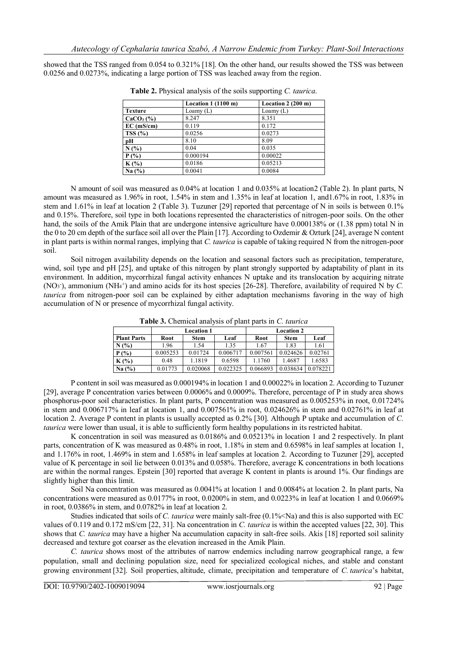showed that the TSS ranged from 0.054 to 0.321% [18]. On the other hand, our results showed the TSS was between 0.0256 and 0.0273%, indicating a large portion of TSS was leached away from the region.

|                | Location $1(1100 \text{ m})$ | Location $2(200 \text{ m})$ |
|----------------|------------------------------|-----------------------------|
| <b>Texture</b> | Loamy $(L)$                  | Loamy $(L)$                 |
| $CaCO3(\%)$    | 8.247                        | 8.351                       |
| $EC$ (mS/cm)   | 0.119                        | 0.172                       |
| TSS(%)         | 0.0256                       | 0.0273                      |
| pН             | 8.10                         | 8.09                        |
| N(%            | 0.04                         | 0.035                       |
| $P(\%)$        | 0.000194                     | 0.00022                     |
| $K(\%)$        | 0.0186                       | 0.05213                     |
| Na(%)          | 0.0041                       | 0.0084                      |

**Table 2.** Physical analysis of the soils supporting *C. taurica*.

N amount of soil was measured as 0.04% at location 1 and 0.035% at location2 (Table 2). In plant parts, N amount was measured as 1.96% in root, 1.54% in stem and 1.35% in leaf at location 1, and1.67% in root, 1.83% in stem and 1.61% in leaf at location 2 (Table 3). Tuzuner [29] reported that percentage of N in soils is between 0.1% and 0.15%. Therefore, soil type in both locations represented the characteristics of nitrogen-poor soils. On the other hand, the soils of the Amik Plain that are undergone intensive agriculture have 0.000138% or (1.38 ppm) total N in the 0 to 20 cm depth of the surface soil all over the Plain [17]. According to Ozdemir & Ozturk [24], average N content in plant parts is within normal ranges, implying that *C. taurica* is capable of taking required N from the nitrogen-poor soil.

Soil nitrogen availability depends on the location and seasonal factors such as precipitation, temperature, wind, soil type and pH [25], and uptake of this nitrogen by plant strongly supported by adaptability of plant in its environment. In addition, mycorrhizal fungal activity enhances N uptake and its translocation by acquiring nitrate (NO<sup>3</sup> - ), ammonium (NH<sup>4</sup> + ) and amino acids for its host species [26-28]. Therefore, availability of required N by *C. taurica* from nitrogen-poor soil can be explained by either adaptation mechanisms favoring in the way of high accumulation of N or presence of mycorrhizal fungal activity.

|                    |          | <b>Location 1</b> |          | <b>Location 2</b> |             |          |  |  |
|--------------------|----------|-------------------|----------|-------------------|-------------|----------|--|--|
| <b>Plant Parts</b> | Root     | <b>Stem</b>       | Leaf     | Root              | <b>Stem</b> | Leaf     |  |  |
| N(%)               | 1.96     | 1.54              | 1.35     | 1.67              | 1.83        | 1.61     |  |  |
| $P(\%)$            | 0.005253 | 0.01724           | 0.006717 | 0.007561          | 0.024626    | 0.02761  |  |  |
| $K(\%)$            | 0.48     | 1.1819            | 0.6598   | 1.1760            | 1.4687      | 1.6583   |  |  |
| Na(%)              | 0.01773  | 0.020068          | 0.022325 | 0.066893          | 0.038634    | 0.078221 |  |  |

**Table 3.** Chemical analysis of plant parts in *C. taurica*

P content in soil was measured as 0.000194% in location 1 and 0.00022% in location 2. According to Tuzuner [29], average P concentration varies between 0.0006% and 0.0009%. Therefore, percentage of P in study area shows phosphorus-poor soil characteristics. In plant parts, P concentration was measured as 0.005253% in root, 0.01724% in stem and 0.006717% in leaf at location 1, and 0.007561% in root, 0.024626% in stem and 0.02761% in leaf at location 2. Average P content in plants is usually accepted as 0.2% [30]. Although P uptake and accumulation of *C. taurica* were lower than usual, it is able to sufficiently form healthy populations in its restricted habitat.

K concentration in soil was measured as  $0.0186\%$  and  $0.05213\%$  in location 1 and 2 respectively. In plant parts, concentration of K was measured as 0.48% in root, 1.18% in stem and 0.6598% in leaf samples at location 1, and 1.176% in root, 1.469% in stem and 1.658% in leaf samples at location 2. According to Tuzuner [29], accepted value of K percentage in soil lie between 0.013% and 0.058%. Therefore, average K concentrations in both locations are within the normal ranges. Epstein [30] reported that average K content in plants is around 1%. Our findings are slightly higher than this limit.

Soil Na concentration was measured as 0.0041% at location 1 and 0.0084% at location 2. In plant parts, Na concentrations were measured as 0.0177% in root, 0.0200% in stem, and 0.0223% in leaf at location 1 and 0.0669% in root, 0.0386% in stem, and 0.0782% in leaf at location 2.

Studies indicated that soils of *C. taurica* were mainly salt-free  $(0.1\%<\math>Na)$  and this is also supported with EC values of 0.119 and 0.172 mS/cm [22, 31]. Na concentration in *C. taurica* is within the accepted values [22, 30]. This shows that *C. taurica* may have a higher Na accumulation capacity in salt-free soils. Akis [18] reported soil salinity decreased and texture got coarser as the elevation increased in the Amik Plain.

*C. taurica* shows most of the attributes of narrow endemics including narrow geographical range, a few population, small and declining population size, need for specialized ecological niches, and stable and constant growing environment [32]. Soil properties, altitude, climate, precipitation and temperature of *C. taurica*'s habitat,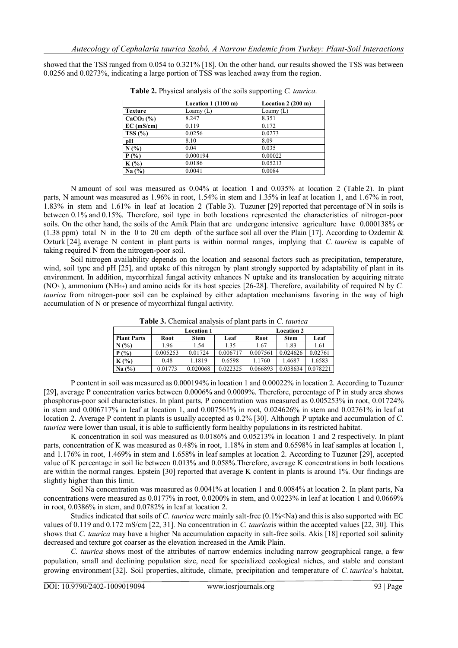showed that the TSS ranged from 0.054 to 0.321% [18]. On the other hand, our results showed the TSS was between 0.0256 and 0.0273%, indicating a large portion of TSS was leached away from the region.

|                | Location $1(1100 \text{ m})$ | Location $2(200 \text{ m})$ |
|----------------|------------------------------|-----------------------------|
| <b>Texture</b> | Loamy $(L)$                  | Loamy $(L)$                 |
| $CaCO3(\%)$    | 8.247                        | 8.351                       |
| $EC$ (mS/cm)   | 0.119                        | 0.172                       |
| TSS(%)         | 0.0256                       | 0.0273                      |
| pН             | 8.10                         | 8.09                        |
| N(%            | 0.04                         | 0.035                       |
| $P(\%)$        | 0.000194                     | 0.00022                     |
| $K(\%)$        | 0.0186                       | 0.05213                     |
| Na(%)          | 0.0041                       | 0.0084                      |

**Table 2.** Physical analysis of the soils supporting *C. taurica*.

N amount of soil was measured as 0.04% at location 1 and 0.035% at location 2 (Table 2). In plant parts, N amount was measured as 1.96% in root, 1.54% in stem and 1.35% in leaf at location 1, and 1.67% in root, 1.83% in stem and 1.61% in leaf at location 2 (Table 3). Tuzuner [29] reported that percentage of N in soils is between 0.1% and 0.15%. Therefore, soil type in both locations represented the characteristics of nitrogen-poor soils. On the other hand, the soils of the Amik Plain that are undergone intensive agriculture have 0.000138% or (1.38 ppm) total N in the 0 to 20 cm depth of the surface soil all over the Plain [17]. According to Ozdemir  $\&$ Ozturk [24], average N content in plant parts is within normal ranges, implying that *C. taurica* is capable of taking required N from the nitrogen-poor soil.

Soil nitrogen availability depends on the location and seasonal factors such as precipitation, temperature, wind, soil type and pH [25], and uptake of this nitrogen by plant strongly supported by adaptability of plant in its environment. In addition, mycorrhizal fungal activity enhances N uptake and its translocation by acquiring nitrate (NO3-), ammonium (NH4+) and amino acids for its host species [26-28]. Therefore, availability of required N by *C. taurica* from nitrogen-poor soil can be explained by either adaptation mechanisms favoring in the way of high accumulation of N or presence of mycorrhizal fungal activity.

|                    |          | <b>Location 1</b> |          | <b>Location 2</b> |          |          |  |  |
|--------------------|----------|-------------------|----------|-------------------|----------|----------|--|--|
| <b>Plant Parts</b> | Root     | <b>Stem</b>       | Leaf     | Root              | Stem     | Leaf     |  |  |
| N(%)               | 1.96     | 1.54              | 1.35     | 1.67              | 1.83     | 1.61     |  |  |
| $P(\%)$            | 0.005253 | 0.01724           | 0.006717 | 0.007561          | 0.024626 | 0.02761  |  |  |
| $K(\%)$            | 0.48     | 1.1819            | 0.6598   | 1.1760            | 1.4687   | 1.6583   |  |  |
| Na(%)              | 0.01773  | 0.020068          | 0.022325 | 0.066893          | 0.038634 | 0.078221 |  |  |

**Table 3.** Chemical analysis of plant parts in *C. taurica*

P content in soil was measured as 0.000194% in location 1 and 0.00022% in location 2. According to Tuzuner [29], average P concentration varies between 0.0006% and 0.0009%. Therefore, percentage of P in study area shows phosphorus-poor soil characteristics. In plant parts, P concentration was measured as 0.005253% in root, 0.01724% in stem and 0.006717% in leaf at location 1, and 0.007561% in root, 0.024626% in stem and 0.02761% in leaf at location 2. Average P content in plants is usually accepted as 0.2% [30]. Although P uptake and accumulation of *C. taurica* were lower than usual, it is able to sufficiently form healthy populations in its restricted habitat.

K concentration in soil was measured as 0.0186% and 0.05213% in location 1 and 2 respectively. In plant parts, concentration of K was measured as 0.48% in root, 1.18% in stem and 0.6598% in leaf samples at location 1, and 1.176% in root, 1.469% in stem and 1.658% in leaf samples at location 2. According to Tuzuner [29], accepted value of K percentage in soil lie between 0.013% and 0.058%.Therefore, average K concentrations in both locations are within the normal ranges. Epstein [30] reported that average K content in plants is around 1%. Our findings are slightly higher than this limit.

Soil Na concentration was measured as 0.0041% at location 1 and 0.0084% at location 2. In plant parts, Na concentrations were measured as 0.0177% in root, 0.0200% in stem, and 0.0223% in leaf at location 1 and 0.0669% in root, 0.0386% in stem, and 0.0782% in leaf at location 2.

Studies indicated that soils of *C. taurica* were mainly salt-free  $(0.1\%<\math>Na)$  and this is also supported with EC values of 0.119 and 0.172 mS/cm [22, 31]. Na concentration in *C. taurica*is within the accepted values [22, 30]. This shows that *C. taurica* may have a higher Na accumulation capacity in salt-free soils. Akis [18] reported soil salinity decreased and texture got coarser as the elevation increased in the Amik Plain.

*C. taurica* shows most of the attributes of narrow endemics including narrow geographical range, a few population, small and declining population size, need for specialized ecological niches, and stable and constant growing environment [32]. Soil properties, altitude, climate, precipitation and temperature of *C. taurica*'s habitat,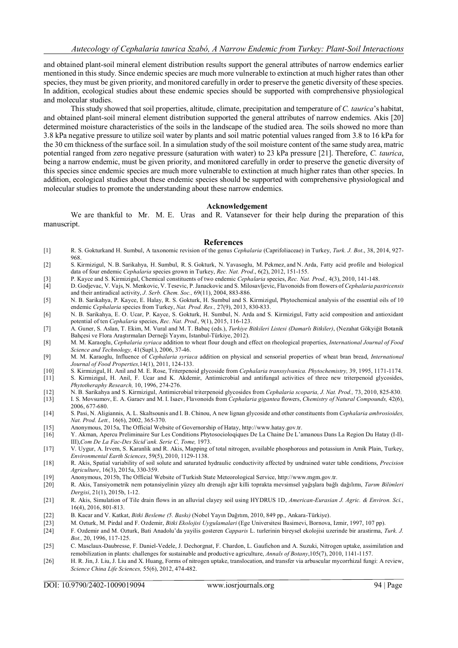and obtained plant-soil mineral element distribution results support the general attributes of narrow endemics earlier mentioned in this study. Since endemic species are much more vulnerable to extinction at much higher rates than other species, they must be given priority, and monitored carefully in order to preserve the genetic diversity of these species. In addition, ecological studies about these endemic species should be supported with comprehensive physiological and molecular studies.

This study showed that soil properties, altitude, climate, precipitation and temperature of *C. taurica*'s habitat, and obtained plant-soil mineral element distribution supported the general attributes of narrow endemics. Akis [20] determined moisture characteristics of the soils in the landscape of the studied area. The soils showed no more than 3.8 kPa negative pressure to utilize soil water by plants and soil matric potential values ranged from 3.8 to 16 kPa for the 30 cm thickness of the surface soil. In a simulation study of the soil moisture content of the same study area, matric potential ranged from zero negative pressure (saturation with water) to 23 kPa pressure [21]. Therefore, *C. taurica*, being a narrow endemic, must be given priority, and monitored carefully in order to preserve the genetic diversity of this species since endemic species are much more vulnerable to extinction at much higher rates than other species. In addition, ecological studies about these endemic species should be supported with comprehensive physiological and molecular studies to promote the understanding about these narrow endemics.

#### **Acknowledgement**

We are thankful to Mr. M. E. Uras and R. Vatansever for their help during the preparation of this manuscript.

#### **References**

- [1] R. S. Gokturkand H. Sumbul, A taxonomic revision of the genus *Cephalaria* (Caprifoliaceae) in Turkey, *Turk. J. Bot*., 38, 2014, 927- 968.
- [2] S. Kirmizigul, N. B. Sarikahya, H. Sumbul, R. S. Gokturk, N. Yavasoglu, M. Pekmez, and N. Arda, Fatty acid profile and biological data of four endemic *Cephalaria* species grown in Turkey, *Rec. Nat. Prod*., 6(2), 2012, 151-155.
- [3] P. Kayce and S. Kirmizigul, Chemical constituents of two endemic *Cephalaria* species, *Rec. Nat. Prod.,* 4(3), 2010, 141-148.
- [4] D. Godjevac, V. Vajs, N. Menkovic, V. Tesevic, P. Janackovic and S. Milosavljevic, Flavonoids from flowers of *Cephalaria pastricensis*  and their antiradical activity, *J. Serb. Chem. Soc.,* 69(11), 2004, 883-886.
- [5] N. B. Sarikahya, P. Kayce, E. Halay, R. S. Gokturk, H. Sumbul and S. Kirmizigul, Phytochemical analysis of the essential oils of 10 endemic *Cephalaria* species from Turkey, *Nat. Prod. Res.,* 27(9), 2013, 830-833.
- [6] N. B. Sarikahya, E. O. Ucar, P. Kayce, S. Gokturk, H. Sumbul, N. Arda and S. Kirmizigul, Fatty acid composition and antioxidant potential of ten *Cephalaria* species, *Rec. Nat. Prod.,* 9(1), 2015, 116-123.
- [7] A. Guner, S. Aslan, T. Ekim, M. Vural and M. T. Babaç (eds.), *Turkiye Bitkileri Listesi (Damarlı Bitkiler)*, (Nezahat Gökyiğit Botanik Bahçesi ve Flora Araştırmaları Derneği Yayını, Istanbul-Türkiye, 2012).
- [8] M. M. Karaoglu, *Cephalaria syriaca* addition to wheat flour dough and effect on rheological properties, *International Journal of Food Science and Technology,* 41(Supl.), 2006, 37-46.
- [9] M. M. Karaoglu, Influence of *Cephalaria syriaca* addition on physical and sensorial properties of wheat bran bread, *International Journal of Food Properties,*14(1), 2011, 124-133.
- [10] S. Kirmizigul, H. Anil and M. E. Rose, Triterpenoid glycoside from *Cephalaria transsylvanica. Phytochemistry,* 39, 1995, 1171-1174.
- [11] S. Kirmizigul, H. Anil, F. Ucar and K. Akdemir, Antimicrobial and antifungal activities of three new triterpenoid glycosides, *Phytotheraphy Research,* 10, 1996, 274-276.
- [12] N. B. Sarikahya and S. Kirmizigul, Antimicrobial triterpenoid glycosides from *Cephalaria scoparia, J. Nat. Prod.,* 73, 2010, 825-830.
- [13] I. S. Movsumov, E. A. Garaev and M. I. Isaev, Flavonoids from *Cephalaria gigantea* flowers, *Chemistry of Natural Compounds,* 42(6), 2006, 677-680.
- [14] S. Pasi, N. Aligiannis, A. L. Skaltsounis and I. B. Chinou, A new lignan glycoside and other constituents from *Cephalaria ambrosioides, Nat. Prod. Lett.,* 16(6), 2002, 365-370.
- [15] Anonymous, 2015a, The Official Website of Governorship of Hatay, http://www.hatay.gov.tr.
- [16] Y. Akman, Apercu Preliminaire Sur Les Conditions Phytosocioloqiques De La Chaine De L'amanous Dans La Region Du Hatay (I-II-III),*Com De La Fac-Des Sicid'ank. Serie C, Tome,* 1973.
- [17] V. Uygur, A. Irvem, S. Karanlik and R. Akis, Mapping of total nitrogen, available phosphorous and potassium in Amik Plain, Turkey, *Environmental Earth Sciences*, 59(5), 2010, 1129-1138.
- [18] R. Akis, Spatial variability of soil solute and saturated hydraulic conductivity affected by undrained water table conditions, *Precision Agriculture*, 16(3), 2015a, 330-359.
- [19] Anonymous, 2015b, The Official Website of Turkish State Meteorological Service, http://www.mgm.gov.tr.
- [20] R. Akis, Tansiyometrik nem potansiyelinin yüzey altı drenajlı ağır killi toprakta mevsimsel yağışlara bağlı dağılımı, *Tarım Bilimleri Dergisi*, 21(1), 2015b, 1-12.
- [21] R. Akis, Simulation of Tile drain flows in an alluvial clayey soil using HYDRUS 1D, *American-Eurasian J. Agric. & Environ. Sci.*, 16(4), 2016, 801-813.
- [22] B. Kacar and V. Katkat, *Bitki Besleme (5. Baskı)* (Nobel Yayın Dağıtım, 2010, 849 pp., Ankara-Türkiye).
- [23] M. Ozturk, M. Pirdal and F. Ozdemir, *Bitki Ekolojisi Uygulamalari* (Ege Universitesi Basimevi, Bornova, Izmir, 1997, 107 pp).
- [24] F. Ozdemir and M. Ozturk, Bati Anadolu'da yayilis gosteren *Capparis* L. turlerinin bireysel ekolojisi uzerinde bir arastirma, *Turk. J. Bot.,* 20, 1996, 117-125.
- [25] C. Masclaux-Daubresse, F. Daniel-Vedele, J. Dechorgnat, F. Chardon, L. Gaufichon and A. Suzuki, Nitrogen uptake, assimilation and remobilization in plants: challenges for sustainable and productive agriculture, *Annals of Botany*,105(7), 2010, 1141-1157.
- [26] H. R. Jin, J. Liu, J. Liu and X. Huang, Forms of nitrogen uptake, translocation, and transfer via arbuscular mycorrhizal fungi: A review, *Science China Life Sciences,* 55(6), 2012, 474-482.